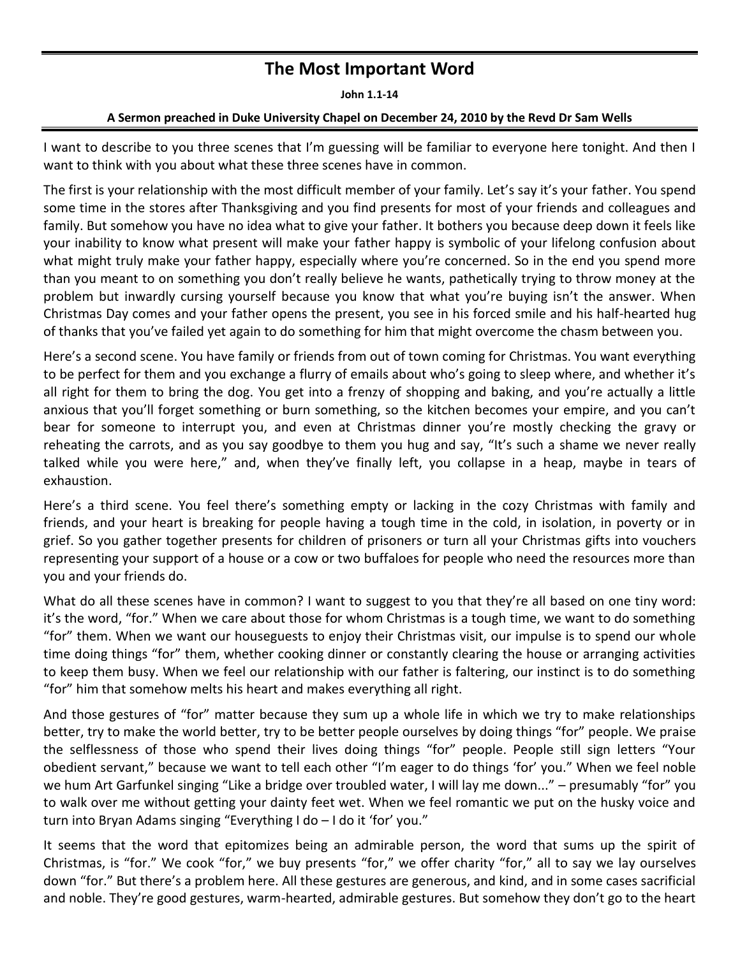## **The Most Important Word**

**John 1.1-14**

## **A Sermon preached in Duke University Chapel on December 24, 2010 by the Revd Dr Sam Wells**

I want to describe to you three scenes that I'm guessing will be familiar to everyone here tonight. And then I want to think with you about what these three scenes have in common.

The first is your relationship with the most difficult member of your family. Let's say it's your father. You spend some time in the stores after Thanksgiving and you find presents for most of your friends and colleagues and family. But somehow you have no idea what to give your father. It bothers you because deep down it feels like your inability to know what present will make your father happy is symbolic of your lifelong confusion about what might truly make your father happy, especially where you're concerned. So in the end you spend more than you meant to on something you don't really believe he wants, pathetically trying to throw money at the problem but inwardly cursing yourself because you know that what you're buying isn't the answer. When Christmas Day comes and your father opens the present, you see in his forced smile and his half-hearted hug of thanks that you've failed yet again to do something for him that might overcome the chasm between you.

Here's a second scene. You have family or friends from out of town coming for Christmas. You want everything to be perfect for them and you exchange a flurry of emails about who's going to sleep where, and whether it's all right for them to bring the dog. You get into a frenzy of shopping and baking, and you're actually a little anxious that you'll forget something or burn something, so the kitchen becomes your empire, and you can't bear for someone to interrupt you, and even at Christmas dinner you're mostly checking the gravy or reheating the carrots, and as you say goodbye to them you hug and say, "It's such a shame we never really talked while you were here," and, when they've finally left, you collapse in a heap, maybe in tears of exhaustion.

Here's a third scene. You feel there's something empty or lacking in the cozy Christmas with family and friends, and your heart is breaking for people having a tough time in the cold, in isolation, in poverty or in grief. So you gather together presents for children of prisoners or turn all your Christmas gifts into vouchers representing your support of a house or a cow or two buffaloes for people who need the resources more than you and your friends do.

What do all these scenes have in common? I want to suggest to you that they're all based on one tiny word: it's the word, "for." When we care about those for whom Christmas is a tough time, we want to do something "for" them. When we want our houseguests to enjoy their Christmas visit, our impulse is to spend our whole time doing things "for" them, whether cooking dinner or constantly clearing the house or arranging activities to keep them busy. When we feel our relationship with our father is faltering, our instinct is to do something "for" him that somehow melts his heart and makes everything all right.

And those gestures of "for" matter because they sum up a whole life in which we try to make relationships better, try to make the world better, try to be better people ourselves by doing things "for" people. We praise the selflessness of those who spend their lives doing things "for" people. People still sign letters "Your obedient servant," because we want to tell each other "I'm eager to do things 'for' you." When we feel noble we hum Art Garfunkel singing "Like a bridge over troubled water, I will lay me down..." – presumably "for" you to walk over me without getting your dainty feet wet. When we feel romantic we put on the husky voice and turn into Bryan Adams singing "Everything I do – I do it 'for' you."

It seems that the word that epitomizes being an admirable person, the word that sums up the spirit of Christmas, is "for." We cook "for," we buy presents "for," we offer charity "for," all to say we lay ourselves down "for." But there's a problem here. All these gestures are generous, and kind, and in some cases sacrificial and noble. They're good gestures, warm-hearted, admirable gestures. But somehow they don't go to the heart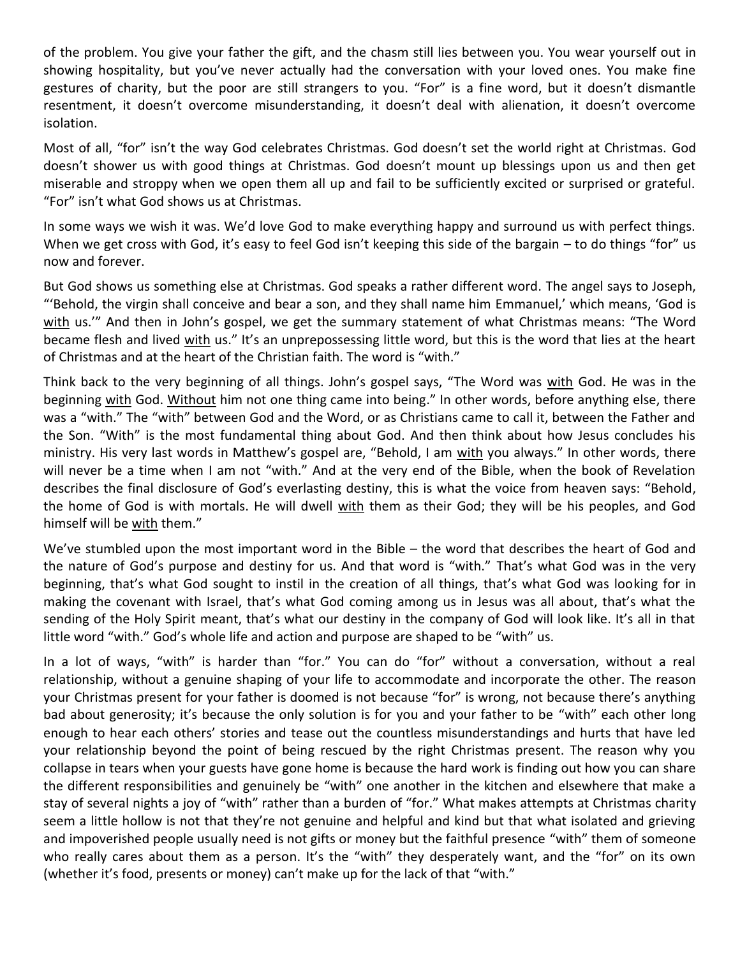of the problem. You give your father the gift, and the chasm still lies between you. You wear yourself out in showing hospitality, but you've never actually had the conversation with your loved ones. You make fine gestures of charity, but the poor are still strangers to you. "For" is a fine word, but it doesn't dismantle resentment, it doesn't overcome misunderstanding, it doesn't deal with alienation, it doesn't overcome isolation.

Most of all, "for" isn't the way God celebrates Christmas. God doesn't set the world right at Christmas. God doesn't shower us with good things at Christmas. God doesn't mount up blessings upon us and then get miserable and stroppy when we open them all up and fail to be sufficiently excited or surprised or grateful. "For" isn't what God shows us at Christmas.

In some ways we wish it was. We'd love God to make everything happy and surround us with perfect things. When we get cross with God, it's easy to feel God isn't keeping this side of the bargain – to do things "for" us now and forever.

But God shows us something else at Christmas. God speaks a rather different word. The angel says to Joseph, "'Behold, the virgin shall conceive and bear a son, and they shall name him Emmanuel,' which means, 'God is with us.'" And then in John's gospel, we get the summary statement of what Christmas means: "The Word became flesh and lived with us." It's an unprepossessing little word, but this is the word that lies at the heart of Christmas and at the heart of the Christian faith. The word is "with."

Think back to the very beginning of all things. John's gospel says, "The Word was with God. He was in the beginning with God. Without him not one thing came into being." In other words, before anything else, there was a "with." The "with" between God and the Word, or as Christians came to call it, between the Father and the Son. "With" is the most fundamental thing about God. And then think about how Jesus concludes his ministry. His very last words in Matthew's gospel are, "Behold, I am with you always." In other words, there will never be a time when I am not "with." And at the very end of the Bible, when the book of Revelation describes the final disclosure of God's everlasting destiny, this is what the voice from heaven says: "Behold, the home of God is with mortals. He will dwell with them as their God; they will be his peoples, and God himself will be with them."

We've stumbled upon the most important word in the Bible – the word that describes the heart of God and the nature of God's purpose and destiny for us. And that word is "with." That's what God was in the very beginning, that's what God sought to instil in the creation of all things, that's what God was looking for in making the covenant with Israel, that's what God coming among us in Jesus was all about, that's what the sending of the Holy Spirit meant, that's what our destiny in the company of God will look like. It's all in that little word "with." God's whole life and action and purpose are shaped to be "with" us.

In a lot of ways, "with" is harder than "for." You can do "for" without a conversation, without a real relationship, without a genuine shaping of your life to accommodate and incorporate the other. The reason your Christmas present for your father is doomed is not because "for" is wrong, not because there's anything bad about generosity; it's because the only solution is for you and your father to be "with" each other long enough to hear each others' stories and tease out the countless misunderstandings and hurts that have led your relationship beyond the point of being rescued by the right Christmas present. The reason why you collapse in tears when your guests have gone home is because the hard work is finding out how you can share the different responsibilities and genuinely be "with" one another in the kitchen and elsewhere that make a stay of several nights a joy of "with" rather than a burden of "for." What makes attempts at Christmas charity seem a little hollow is not that they're not genuine and helpful and kind but that what isolated and grieving and impoverished people usually need is not gifts or money but the faithful presence "with" them of someone who really cares about them as a person. It's the "with" they desperately want, and the "for" on its own (whether it's food, presents or money) can't make up for the lack of that "with."